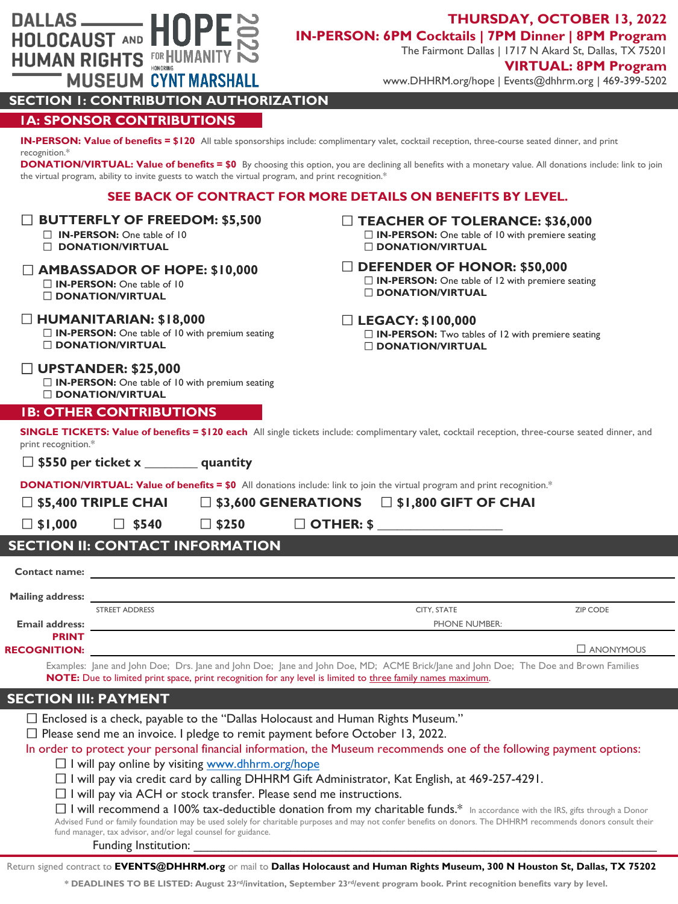|                                                                                                                                                                                                                          | SEE BACK OF CONTRACT FOR MORE DETAILS ON BENEFITS BY LEVEL.                                                                                                                                                                                                                                                                                                      |                                                                                                                          |                  |  |  |  |  |  |
|--------------------------------------------------------------------------------------------------------------------------------------------------------------------------------------------------------------------------|------------------------------------------------------------------------------------------------------------------------------------------------------------------------------------------------------------------------------------------------------------------------------------------------------------------------------------------------------------------|--------------------------------------------------------------------------------------------------------------------------|------------------|--|--|--|--|--|
| <b>BUTTERFLY OF FREEDOM: \$5,500</b><br>$\Box$ <b>IN-PERSON:</b> One table of 10<br><b>DONATION/VIRTUAL</b>                                                                                                              |                                                                                                                                                                                                                                                                                                                                                                  | $\Box$ TEACHER OF TOLERANCE: \$36,000<br>□ IN-PERSON: One table of 10 with premiere seating<br><b>DONATION/VIRTUAL</b>   |                  |  |  |  |  |  |
| $\Box$ <b>IN-PERSON:</b> One table of 10<br><b>DONATION/VIRTUAL</b>                                                                                                                                                      | $\Box$ AMBASSADOR OF HOPE: \$10,000                                                                                                                                                                                                                                                                                                                              | $\Box$ DEFENDER OF HONOR: \$50,000<br>$\Box$ IN-PERSON: One table of 12 with premiere seating<br><b>DONATION/VIRTUAL</b> |                  |  |  |  |  |  |
| $\Box$ HUMANITARIAN: \$18,000<br><b>DONATION/VIRTUAL</b>                                                                                                                                                                 | $\Box$ IN-PERSON: One table of 10 with premium seating                                                                                                                                                                                                                                                                                                           | $\Box$ LEGACY: \$100,000<br>□ IN-PERSON: Two tables of 12 with premiere seating<br><b>DONATION/VIRTUAL</b>               |                  |  |  |  |  |  |
| $\Box$ UPSTANDER: \$25,000<br><b>DONATION/VIRTUAL</b>                                                                                                                                                                    | $\Box$ IN-PERSON: One table of 10 with premium seating                                                                                                                                                                                                                                                                                                           |                                                                                                                          |                  |  |  |  |  |  |
|                                                                                                                                                                                                                          | <b>IB: OTHER CONTRIBUTIONS</b>                                                                                                                                                                                                                                                                                                                                   |                                                                                                                          |                  |  |  |  |  |  |
| print recognition.*                                                                                                                                                                                                      | SINGLE TICKETS: Value of benefits = \$120 each All single tickets include: complimentary valet, cocktail reception, three-course seated dinner, and<br>$\Box$ \$550 per ticket x _________ quantity                                                                                                                                                              |                                                                                                                          |                  |  |  |  |  |  |
|                                                                                                                                                                                                                          |                                                                                                                                                                                                                                                                                                                                                                  |                                                                                                                          |                  |  |  |  |  |  |
| <b>DONATION/VIRTUAL: Value of benefits = \$0</b> All donations include: link to join the virtual program and print recognition.*<br>$\Box$ \$5,400 TRIPLE CHAI<br>$\Box$ \$3,600 GENERATIONS $\Box$ \$1,800 GIFT OF CHAI |                                                                                                                                                                                                                                                                                                                                                                  |                                                                                                                          |                  |  |  |  |  |  |
|                                                                                                                                                                                                                          |                                                                                                                                                                                                                                                                                                                                                                  |                                                                                                                          |                  |  |  |  |  |  |
|                                                                                                                                                                                                                          |                                                                                                                                                                                                                                                                                                                                                                  |                                                                                                                          |                  |  |  |  |  |  |
| $\Box$ \$1,000                                                                                                                                                                                                           | $\Box$ \$540<br>$\square$ \$250                                                                                                                                                                                                                                                                                                                                  | $\Box$ OTHER: \$                                                                                                         |                  |  |  |  |  |  |
|                                                                                                                                                                                                                          | <b>SECTION II: CONTACT INFORMATION</b>                                                                                                                                                                                                                                                                                                                           |                                                                                                                          |                  |  |  |  |  |  |
|                                                                                                                                                                                                                          | Contact name: <u>contact name</u>                                                                                                                                                                                                                                                                                                                                |                                                                                                                          |                  |  |  |  |  |  |
|                                                                                                                                                                                                                          |                                                                                                                                                                                                                                                                                                                                                                  |                                                                                                                          |                  |  |  |  |  |  |
|                                                                                                                                                                                                                          | <b>STREET ADDRESS</b>                                                                                                                                                                                                                                                                                                                                            | CITY, STATE                                                                                                              | <b>ZIP CODE</b>  |  |  |  |  |  |
| <b>Email address:</b>                                                                                                                                                                                                    |                                                                                                                                                                                                                                                                                                                                                                  | PHONE NUMBER:                                                                                                            |                  |  |  |  |  |  |
| <b>PRINT</b><br><b>RECOGNITION:</b>                                                                                                                                                                                      |                                                                                                                                                                                                                                                                                                                                                                  |                                                                                                                          | $\Box$ ANONYMOUS |  |  |  |  |  |
|                                                                                                                                                                                                                          | Examples: Jane and John Doe; Drs. Jane and John Doe; Jane and John Doe, MD; ACME Brick/Jane and John Doe; The Doe and Brown Families<br>NOTE: Due to limited print space, print recognition for any level is limited to three family names maximum.                                                                                                              |                                                                                                                          |                  |  |  |  |  |  |
| <b>SECTION III: PAYMENT</b>                                                                                                                                                                                              |                                                                                                                                                                                                                                                                                                                                                                  |                                                                                                                          |                  |  |  |  |  |  |
|                                                                                                                                                                                                                          | $\Box$ Enclosed is a check, payable to the "Dallas Holocaust and Human Rights Museum."                                                                                                                                                                                                                                                                           |                                                                                                                          |                  |  |  |  |  |  |
|                                                                                                                                                                                                                          | $\Box$ Please send me an invoice. I pledge to remit payment before October 13, 2022.                                                                                                                                                                                                                                                                             |                                                                                                                          |                  |  |  |  |  |  |
|                                                                                                                                                                                                                          | In order to protect your personal financial information, the Museum recommends one of the following payment options:                                                                                                                                                                                                                                             |                                                                                                                          |                  |  |  |  |  |  |
|                                                                                                                                                                                                                          | □ I will pay online by visiting www.dhhrm.org/hope                                                                                                                                                                                                                                                                                                               |                                                                                                                          |                  |  |  |  |  |  |
|                                                                                                                                                                                                                          | $\Box$ I will pay via credit card by calling DHHRM Gift Administrator, Kat English, at 469-257-4291.<br>$\Box$ I will pay via ACH or stock transfer. Please send me instructions.                                                                                                                                                                                |                                                                                                                          |                  |  |  |  |  |  |
|                                                                                                                                                                                                                          | □ I will recommend a 100% tax-deductible donation from my charitable funds.* In accordance with the IRS, gifts through a Donor<br>Advised Fund or family foundation may be used solely for charitable purposes and may not confer benefits on donors. The DHHRM recommends donors consult their<br>fund manager, tax advisor, and/or legal counsel for guidance. |                                                                                                                          |                  |  |  |  |  |  |

**IN-PERSON: Value of benefits = \$120** All table sponsorships include: complimentary valet, cocktail reception, three-course seated dinner, and print

**DONATION/VIRTUAL: Value of benefits = \$0** By choosing this option, you are declining all benefits with a monetary value. All donations include: link to join

# the virtual program, ability to invite guests to watch the virtual program, and print recognition.\*

**SECTION 1: CONTRIBUTION AUTHORIZATION**

**MUSEUM CYNT MARSHALL** 

**1A: SPONSOR CONTRIBUTIONS**

DALLAS —— HOPE

**HUMAN RIGHTS** FOR HUMANITY

recognition.\*

### Return signed contract to EVENTS@DHHRM.org or mail to Dallas Holocaust and Human Rights Museum, 300 N Houston St, Dallas, TX 75202

**\* DEADLINES TO BE LISTED: August 23rd/invitation, September 23rd/event program book. Print recognition benefits vary by level.** 

# **THURSDAY, OCTOBER 13, 2022 IN-PERSON: 6PM Cocktails | 7PM Dinner | 8PM Program**

The Fairmont Dallas | 1717 N Akard St, Dallas, TX 75201

## **VIRTUAL: 8PM Program**

www.DHHRM.org/hope | Events@dhhrm.org | 469-399-5202